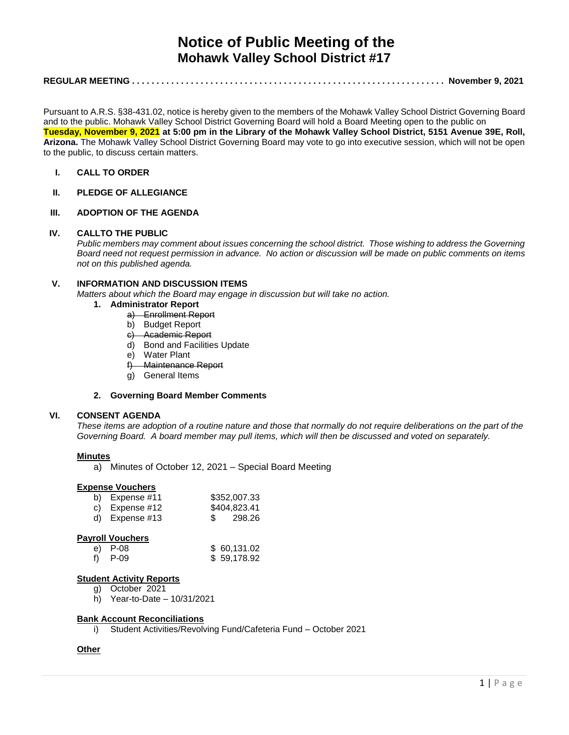# **Notice of Public Meeting of the Mohawk Valley School District #17**

# **REGULAR MEETING . . . . . . . . . . . . . . . . . . . . . . . . . . . . . . . . . . . . . . . . . . . . . . . . . . . . . . . . . . . . . . . . November 9, 2021**

Pursuant to A.R.S. §38-431.02, notice is hereby given to the members of the Mohawk Valley School District Governing Board and to the public. Mohawk Valley School District Governing Board will hold a Board Meeting open to the public on **Tuesday, November 9, 2021 at 5:00 pm in the Library of the Mohawk Valley School District, 5151 Avenue 39E, Roll, Arizona.** The Mohawk Valley School District Governing Board may vote to go into executive session, which will not be open to the public, to discuss certain matters.

# **I. CALL TO ORDER**

# **II. PLEDGE OF ALLEGIANCE**

## **III. ADOPTION OF THE AGENDA**

#### **IV. CALLTO THE PUBLIC**

*Public members may comment about issues concerning the school district. Those wishing to address the Governing Board need not request permission in advance. No action or discussion will be made on public comments on items not on this published agenda.*

## **V. INFORMATION AND DISCUSSION ITEMS**

*Matters about which the Board may engage in discussion but will take no action.* 

- **1. Administrator Report**
	- a) Enrollment Report
	- b) Budget Report
	- c) Academic Report
	- d) Bond and Facilities Update
	- e) Water Plant
	- f) Maintenance Report
	- g) General Items

## **2. Governing Board Member Comments**

## **VI. CONSENT AGENDA**

*These items are adoption of a routine nature and those that normally do not require deliberations on the part of the Governing Board. A board member may pull items, which will then be discussed and voted on separately.*

#### **Minutes**

a) Minutes of October 12, 2021 – Special Board Meeting

#### **Expense Vouchers**

| b) Expense $#11$ | \$352,007.33 |
|------------------|--------------|
| c) Expense $#12$ | \$404,823.41 |
| d) Expense $#13$ | \$ 298.26    |

#### **Payroll Vouchers**

| e) P-08 | \$60,131.02 |
|---------|-------------|
| f) P-09 | \$59,178.92 |

#### **Student Activity Reports**

- g) October 2021
- h) Year-to-Date 10/31/2021

#### **Bank Account Reconciliations**

i) Student Activities/Revolving Fund/Cafeteria Fund – October 2021

#### **Other**